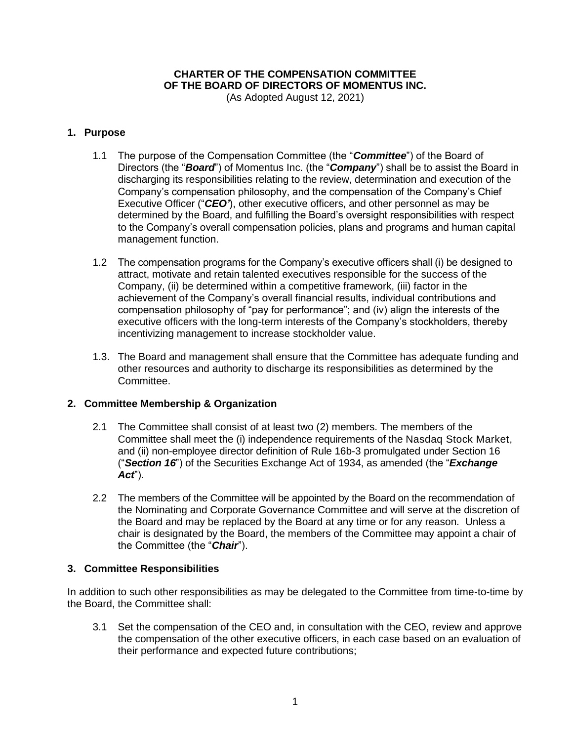# **CHARTER OF THE COMPENSATION COMMITTEE OF THE BOARD OF DIRECTORS OF MOMENTUS INC.**

(As Adopted August 12, 2021)

## **1. Purpose**

- 1.1 The purpose of the Compensation Committee (the "*Committee*") of the Board of Directors (the "*Board*") of Momentus Inc. (the "*Company*") shall be to assist the Board in discharging its responsibilities relating to the review, determination and execution of the Company's compensation philosophy, and the compensation of the Company's Chief Executive Officer ("*CEO'*), other executive officers, and other personnel as may be determined by the Board, and fulfilling the Board's oversight responsibilities with respect to the Company's overall compensation policies, plans and programs and human capital management function.
- 1.2 The compensation programs for the Company's executive officers shall (i) be designed to attract, motivate and retain talented executives responsible for the success of the Company, (ii) be determined within a competitive framework, (iii) factor in the achievement of the Company's overall financial results, individual contributions and compensation philosophy of "pay for performance"; and (iv) align the interests of the executive officers with the long-term interests of the Company's stockholders, thereby incentivizing management to increase stockholder value.
- 1.3. The Board and management shall ensure that the Committee has adequate funding and other resources and authority to discharge its responsibilities as determined by the Committee.

# **2. Committee Membership & Organization**

- 2.1 The Committee shall consist of at least two (2) members. The members of the Committee shall meet the (i) independence requirements of the Nasdaq Stock Market, and (ii) non-employee director definition of Rule 16b-3 promulgated under Section 16 ("*Section 16*") of the Securities Exchange Act of 1934, as amended (the "*Exchange Act*").
- 2.2 The members of the Committee will be appointed by the Board on the recommendation of the Nominating and Corporate Governance Committee and will serve at the discretion of the Board and may be replaced by the Board at any time or for any reason. Unless a chair is designated by the Board, the members of the Committee may appoint a chair of the Committee (the "*Chair*").

# **3. Committee Responsibilities**

In addition to such other responsibilities as may be delegated to the Committee from time-to-time by the Board, the Committee shall:

3.1 Set the compensation of the CEO and, in consultation with the CEO, review and approve the compensation of the other executive officers, in each case based on an evaluation of their performance and expected future contributions;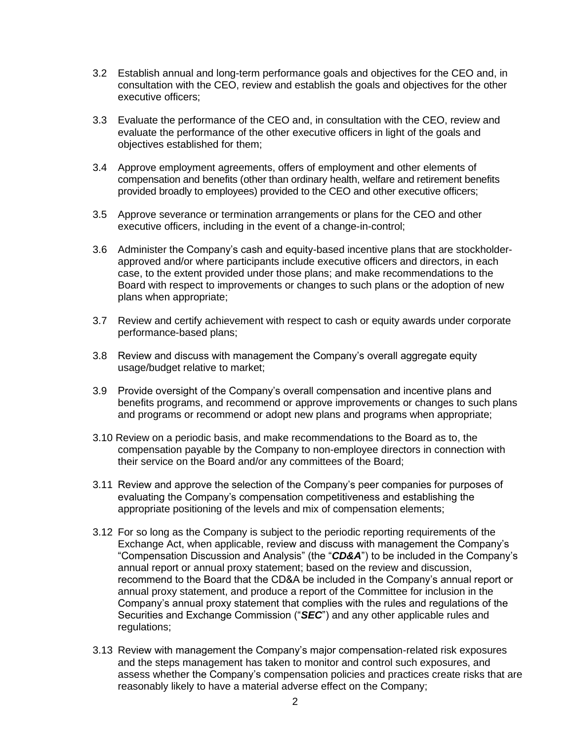- 3.2 Establish annual and long-term performance goals and objectives for the CEO and, in consultation with the CEO, review and establish the goals and objectives for the other executive officers;
- 3.3 Evaluate the performance of the CEO and, in consultation with the CEO, review and evaluate the performance of the other executive officers in light of the goals and objectives established for them;
- 3.4 Approve employment agreements, offers of employment and other elements of compensation and benefits (other than ordinary health, welfare and retirement benefits provided broadly to employees) provided to the CEO and other executive officers;
- 3.5 Approve severance or termination arrangements or plans for the CEO and other executive officers, including in the event of a change-in-control;
- 3.6 Administer the Company's cash and equity-based incentive plans that are stockholderapproved and/or where participants include executive officers and directors, in each case, to the extent provided under those plans; and make recommendations to the Board with respect to improvements or changes to such plans or the adoption of new plans when appropriate;
- 3.7 Review and certify achievement with respect to cash or equity awards under corporate performance-based plans;
- 3.8 Review and discuss with management the Company's overall aggregate equity usage/budget relative to market;
- 3.9 Provide oversight of the Company's overall compensation and incentive plans and benefits programs, and recommend or approve improvements or changes to such plans and programs or recommend or adopt new plans and programs when appropriate;
- 3.10 Review on a periodic basis, and make recommendations to the Board as to, the compensation payable by the Company to non-employee directors in connection with their service on the Board and/or any committees of the Board;
- 3.11 Review and approve the selection of the Company's peer companies for purposes of evaluating the Company's compensation competitiveness and establishing the appropriate positioning of the levels and mix of compensation elements;
- 3.12 For so long as the Company is subject to the periodic reporting requirements of the Exchange Act, when applicable, review and discuss with management the Company's "Compensation Discussion and Analysis" (the "*CD&A*") to be included in the Company's annual report or annual proxy statement; based on the review and discussion, recommend to the Board that the CD&A be included in the Company's annual report or annual proxy statement, and produce a report of the Committee for inclusion in the Company's annual proxy statement that complies with the rules and regulations of the Securities and Exchange Commission ("*SEC*") and any other applicable rules and regulations;
- 3.13 Review with management the Company's major compensation-related risk exposures and the steps management has taken to monitor and control such exposures, and assess whether the Company's compensation policies and practices create risks that are reasonably likely to have a material adverse effect on the Company;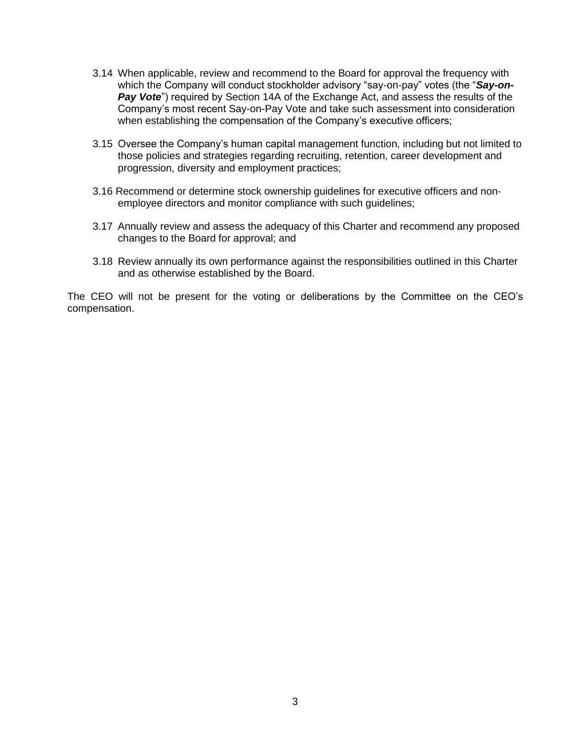- 3.14 When applicable, review and recommend to the Board for approval the frequency with which the Company will conduct stockholder advisory "say-on-pay" votes (the "*Say-on-***Pay Vote**") required by Section 14A of the Exchange Act, and assess the results of the Company's most recent Say-on-Pay Vote and take such assessment into consideration when establishing the compensation of the Company's executive officers;
- 3.15 Oversee the Company's human capital management function, including but not limited to those policies and strategies regarding recruiting, retention, career development and progression, diversity and employment practices;
- 3.16 Recommend or determine stock ownership guidelines for executive officers and nonemployee directors and monitor compliance with such guidelines;
- 3.17 Annually review and assess the adequacy of this Charter and recommend any proposed changes to the Board for approval; and
- 3.18 Review annually its own performance against the responsibilities outlined in this Charter and as otherwise established by the Board.

The CEO will not be present for the voting or deliberations by the Committee on the CEO's compensation.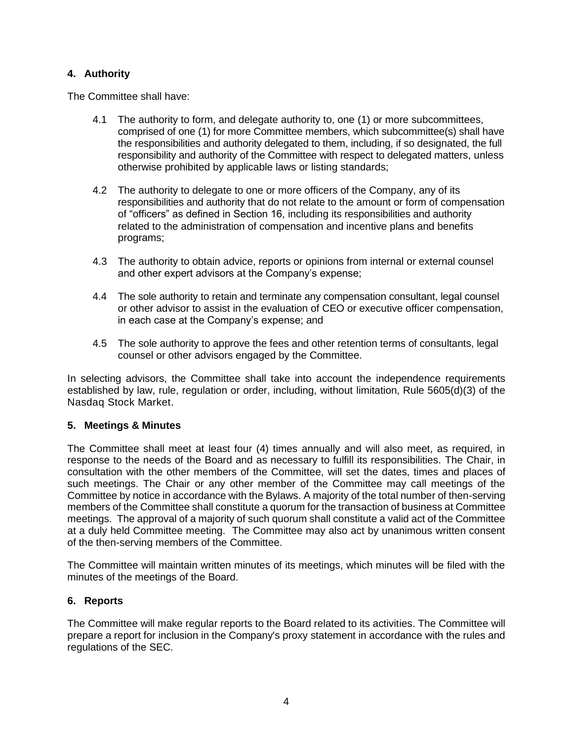## **4. Authority**

The Committee shall have:

- 4.1 The authority to form, and delegate authority to, one (1) or more subcommittees, comprised of one (1) for more Committee members, which subcommittee(s) shall have the responsibilities and authority delegated to them, including, if so designated, the full responsibility and authority of the Committee with respect to delegated matters, unless otherwise prohibited by applicable laws or listing standards;
- 4.2 The authority to delegate to one or more officers of the Company, any of its responsibilities and authority that do not relate to the amount or form of compensation of "officers" as defined in Section 16, including its responsibilities and authority related to the administration of compensation and incentive plans and benefits programs;
- 4.3 The authority to obtain advice, reports or opinions from internal or external counsel and other expert advisors at the Company's expense;
- 4.4 The sole authority to retain and terminate any compensation consultant, legal counsel or other advisor to assist in the evaluation of CEO or executive officer compensation, in each case at the Company's expense; and
- 4.5 The sole authority to approve the fees and other retention terms of consultants, legal counsel or other advisors engaged by the Committee.

In selecting advisors, the Committee shall take into account the independence requirements established by law, rule, regulation or order, including, without limitation, Rule 5605(d)(3) of the Nasdaq Stock Market.

### **5. Meetings & Minutes**

The Committee shall meet at least four (4) times annually and will also meet, as required, in response to the needs of the Board and as necessary to fulfill its responsibilities. The Chair, in consultation with the other members of the Committee, will set the dates, times and places of such meetings. The Chair or any other member of the Committee may call meetings of the Committee by notice in accordance with the Bylaws. A majority of the total number of then-serving members of the Committee shall constitute a quorum for the transaction of business at Committee meetings. The approval of a majority of such quorum shall constitute a valid act of the Committee at a duly held Committee meeting. The Committee may also act by unanimous written consent of the then-serving members of the Committee.

The Committee will maintain written minutes of its meetings, which minutes will be filed with the minutes of the meetings of the Board.

### **6. Reports**

The Committee will make regular reports to the Board related to its activities. The Committee will prepare a report for inclusion in the Company's proxy statement in accordance with the rules and regulations of the SEC.